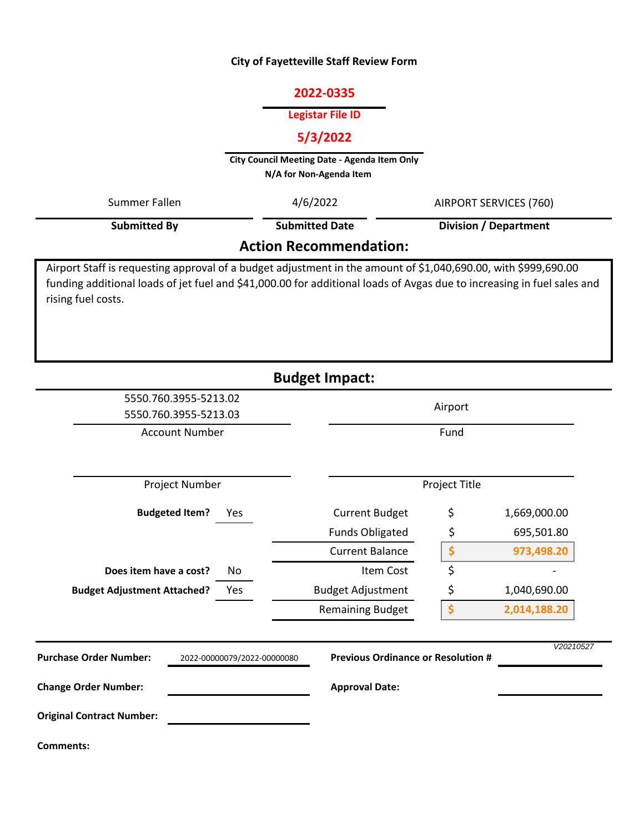#### **City of Fayetteville Staff Review Form**

# **2022-0335**

#### **Legistar File ID**

# **5/3/2022**

**City Council Meeting Date - Agenda Item Only N/A for Non-Agenda Item** 

| Summer Fallen                 | 4/6/2022              | AIRPORT SERVICES (760)       |  |  |
|-------------------------------|-----------------------|------------------------------|--|--|
| <b>Submitted By</b>           | <b>Submitted Date</b> | <b>Division / Department</b> |  |  |
| <b>Action Recommendation:</b> |                       |                              |  |  |

Airport Staff is requesting approval of a budget adjustment in the amount of \$1,040,690.00, with \$999,690.00 funding additional loads of jet fuel and \$41,000.00 for additional loads of Avgas due to increasing in fuel sales and rising fuel costs.

|                                                              | <b>Budget Impact:</b>                     |               |              |
|--------------------------------------------------------------|-------------------------------------------|---------------|--------------|
| 5550.760.3955-5213.02<br>5550.760.3955-5213.03               |                                           | Airport       |              |
| <b>Account Number</b>                                        |                                           | Fund          |              |
| Project Number                                               |                                           | Project Title |              |
| <b>Budgeted Item?</b><br>Yes                                 | <b>Current Budget</b>                     | \$            | 1,669,000.00 |
|                                                              | <b>Funds Obligated</b>                    | \$            | 695,501.80   |
|                                                              | <b>Current Balance</b>                    | \$            | 973,498.20   |
| Does item have a cost?<br>No                                 | Item Cost                                 | \$            |              |
| <b>Budget Adjustment Attached?</b><br>Yes                    | <b>Budget Adjustment</b>                  | \$            | 1,040,690.00 |
|                                                              | <b>Remaining Budget</b>                   | \$            | 2,014,188.20 |
| <b>Purchase Order Number:</b><br>2022-00000079/2022-00000080 | <b>Previous Ordinance or Resolution #</b> |               | V20210527    |
| <b>Change Order Number:</b>                                  | <b>Approval Date:</b>                     |               |              |
| <b>Original Contract Number:</b>                             |                                           |               |              |
| <b>Comments:</b>                                             |                                           |               |              |